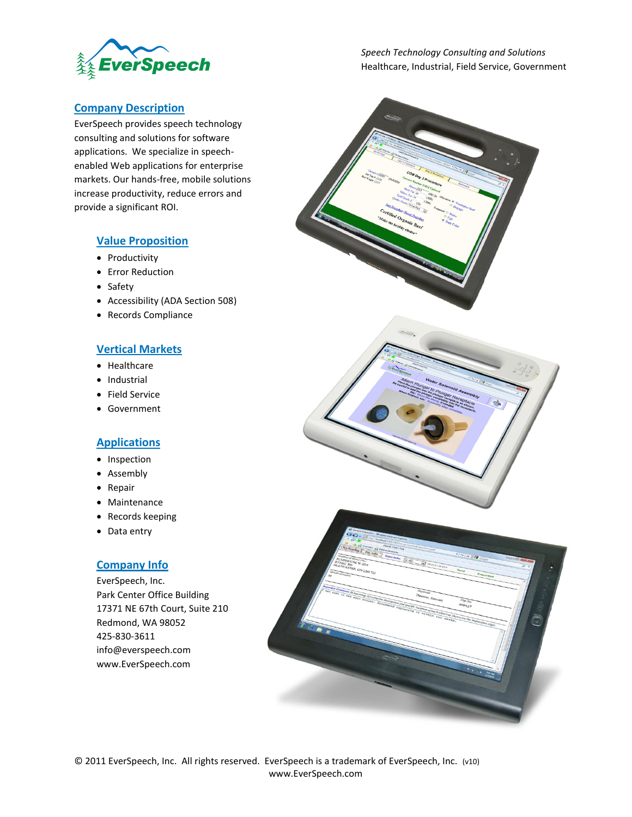

*Speech Technology Consulting and Solutions* Healthcare, Industrial, Field Service, Government

#### **Company Description**

EverSpeech provides speech technology consulting and solutions for software applications. We specialize in speechenabled Web applications for enterprise markets. Our hands-free, mobile solutions increase productivity, reduce errors and provide a significant ROI.

#### **Value Proposition**

- Productivity
- **•** Error Reduction
- Safety
- Accessibility (ADA Section 508)
- Records Compliance

## **Vertical Markets**

- Healthcare
- Industrial
- Field Service
- Government

#### **Applications**

- Inspection
- Assembly
- Repair
- Maintenance
- Records keeping
- Data entry

### **Company Info**

EverSpeech, Inc. Park Center Office Building 17371 NE 67th Court, Suite 210 Redmond, WA 98052 425-830-3611 info@everspeech.com www.EverSpeech.com